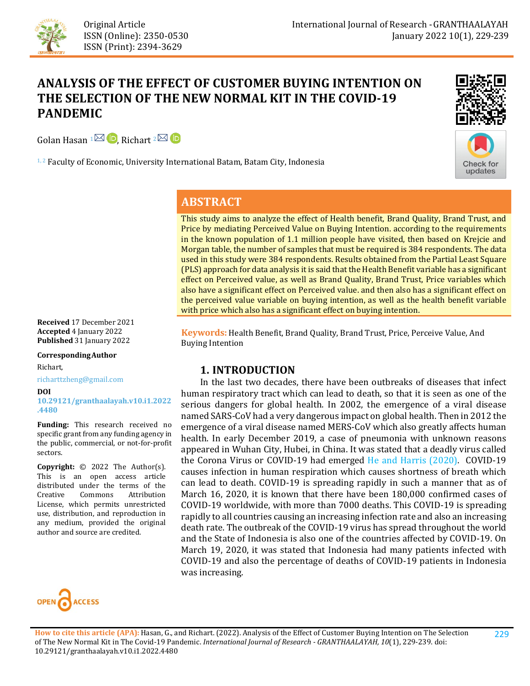

# **ANALYSIS OF THE EFFECT OF CUSTOMER BUYING INTENTION ON THE SELECTION OF THE NEW NORMAL KIT IN THE COVID-19 PANDEMIC**

Golan Hasan  $1\overline{\bowtie}$  (D. Richart  $2\overline{\bowtie}$  (D)

<sup>1, 2</sup> Faculty of Economic, University International Batam, Batam City, Indonesia





# **ABSTRACT**

This study aims to analyze the effect of Health benefit, Brand Quality, Brand Trust, and Price by mediating Perceived Value on Buying Intention. according to the requirements in the known population of 1.1 million people have visited, then based on Krejcie and Morgan table, the number of samples that must be required is 384 respondents. The data used in this study were 384 respondents. Results obtained from the Partial Least Square (PLS) approach for data analysis it is said that the Health Benefit variable has a significant effect on Perceived value, as well as Brand Quality, Brand Trust, Price variables which also have a significant effect on Perceived value. and then also has a significant effect on the perceived value variable on buying intention, as well as the health benefit variable with price which also has a significant effect on buying intention.

**Keywords:** Health Benefit, Brand Quality, Brand Trust, Price, Perceive Value, And Buying Intention

# **1. INTRODUCTION**

 In the last two decades, there have been outbreaks of diseases that infect human respiratory tract which can lead to death, so that it is seen as one of the serious dangers for global health. In 2002, the emergence of a viral disease named SARS-CoV had a very dangerous impact on global health. Then in 2012 the emergence of a viral disease named MERS-CoV which also greatly affects human health. In early December 2019, a case of pneumonia with unknown reasons appeared in Wuhan City, Hubei, in China. It was stated that a deadly virus called the Corona Virus or COVID-19 had emerged [He and Harris \(2020\).](#page-9-0) COVID-19 causes infection in human respiration which causes shortness of breath which can lead to death. COVID-19 is spreading rapidly in such a manner that as of March 16, 2020, it is known that there have been 180,000 confirmed cases of COVID-19 worldwide, with more than 7000 deaths. This COVID-19 is spreading rapidly to all countries causing an increasing infection rate and also an increasing death rate. The outbreak of the COVID-19 virus has spread throughout the world and the State of Indonesia is also one of the countries affected by COVID-19. On March 19, 2020, it was stated that Indonesia had many patients infected with COVID-19 and also the percentage of deaths of COVID-19 patients in Indonesia was increasing.

**ACCESS** 

**Received** 17 December 2021 **Accepted** 4 January 2022 **Published** 31 January 2022

**CorrespondingAuthor**

Richart,

richarttzheng@gmail.com

#### **DOI**

**[10.29121/granthaalayah.v10.i1.2022](https://dx.doi.org/10.29121/granthaalayah.v10.i1.2022.4480) [.4480](https://dx.doi.org/10.29121/granthaalayah.v10.i1.2022.4480)**

**Funding:** This research received no specific grant from any funding agency in the public, commercial, or not-for-profit sectors.

**Copyright:** © 2022 The Author(s). This is an open access article distributed under the terms of the<br>Creative Commons Attribution Commons License, which permits unrestricted use, distribution, and reproduction in any medium, provided the original author and source are credited.

229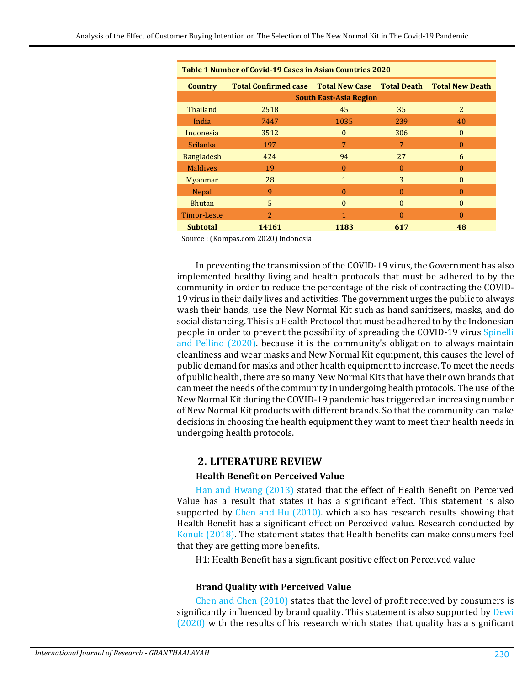| <b>Country</b>    | <b>Total Confirmed case</b> Total New Case |                               | <b>Total Death</b> | <b>Total New Death</b> |
|-------------------|--------------------------------------------|-------------------------------|--------------------|------------------------|
|                   |                                            | <b>South East-Asia Region</b> |                    |                        |
| Thailand          | 2518                                       | 45                            | 35                 | 2                      |
| India             | 7447                                       | 1035                          | 239                | 40                     |
| Indonesia         | 3512                                       | $\Omega$                      | 306                | $\Omega$               |
| <b>Srilanka</b>   | 197                                        | 7                             | 7                  | $\Omega$               |
| <b>Bangladesh</b> | 424                                        | 94                            | 27                 | 6                      |
| <b>Maldives</b>   | 19                                         | O                             | 0                  | 0                      |
| Myanmar           | 28                                         | 1                             | 3                  | $\Omega$               |
| <b>Nepal</b>      | 9                                          | O                             | 0                  | 0                      |
| <b>Bhutan</b>     | 5                                          | $\Omega$                      | $\Omega$           | $\Omega$               |
| Timor-Leste       | $\overline{2}$                             |                               | $\Omega$           | $\Omega$               |
| <b>Subtotal</b>   | 14161                                      | 1183                          | 617                | 48                     |

**Table 1 Number of Covid-19 Cases in Asian Countries 2020**

Source : (Kompas.com 2020) Indonesia

In preventing the transmission of the COVID-19 virus, the Government has also implemented healthy living and health protocols that must be adhered to by the community in order to reduce the percentage of the risk of contracting the COVID-19 virus in their daily lives and activities. The government urges the public to always wash their hands, use the New Normal Kit such as hand sanitizers, masks, and do social distancing. This is a Health Protocol that must be adhered to by the Indonesian people in order to prevent the possibility of spreading the COVID-19 virus [Spinelli](#page-10-0)  [and Pellino \(2020\).](#page-10-0) because it is the community's obligation to always maintain cleanliness and wear masks and New Normal Kit equipment, this causes the level of public demand for masks and other health equipment to increase. To meet the needs of public health, there are so many New Normal Kits that have their own brands that can meet the needs of the community in undergoing health protocols. The use of the New Normal Kit during the COVID-19 pandemic has triggered an increasing number of New Normal Kit products with different brands. So that the community can make decisions in choosing the health equipment they want to meet their health needs in undergoing health protocols.

### **2. LITERATURE REVIEW**

#### **Health Benefit on Perceived Value**

[Han and Hwang \(2013\)](#page-9-1) stated that the effect of Health Benefit on Perceived Value has a result that states it has a significant effect. This statement is also supported by [Chen and Hu \(2010\).](#page-8-0) which also has research results showing that Health Benefit has a significant effect on Perceived value. Research conducted by [Konuk \(2018\).](#page-9-2) The statement states that Health benefits can make consumers feel that they are getting more benefits.

H1: Health Benefit has a significant positive effect on Perceived value

#### **Brand Quality with Perceived Value**

[Chen and Chen \(2010\)](#page-8-1) states that the level of profit received by consumers is significantly influenced by brand quality. This statement is also supported by [Dewi](#page-9-3)  [\(2020\)](#page-9-3) with the results of his research which states that quality has a significant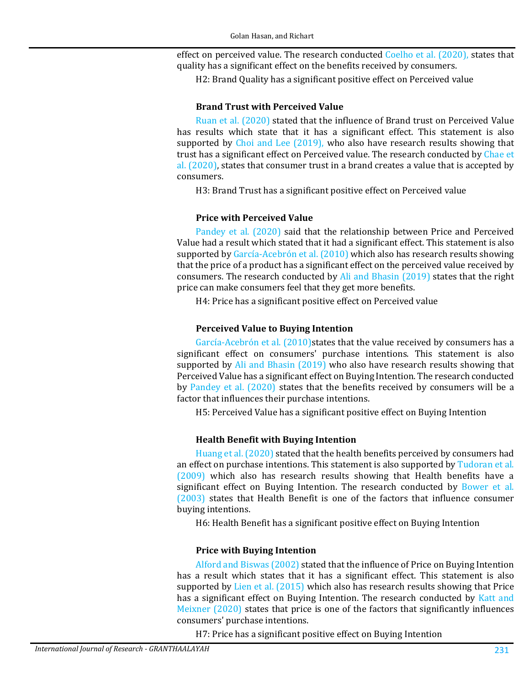effect on perceived value. The research conducted [Coelho et al. \(2020\),](#page-9-4) states that quality has a significant effect on the benefits received by consumers.

H2: Brand Quality has a significant positive effect on Perceived value

### **Brand Trust with Perceived Value**

[Ruan et al. \(2020\)](#page-10-1) stated that the influence of Brand trust on Perceived Value has results which state that it has a significant effect. This statement is also supported by [Choi and Lee \(2019\),](#page-8-2) who also have research results showing that trust has a significant effect on Perceived value. The research conducted by [Chae et](#page-8-3)  [al. \(2020\),](#page-8-3) states that consumer trust in a brand creates a value that is accepted by consumers.

H3: Brand Trust has a significant positive effect on Perceived value

### **Price with Perceived Value**

[Pandey et al. \(2020\)](#page-9-5) said that the relationship between Price and Perceived Value had a result which stated that it had a significant effect. This statement is also supported by [García-Acebrón et](#page-9-6) al. (2010) which also has research results showing that the price of a product has a significant effect on the perceived value received by consumers. The research conducted by [Ali and Bhasin \(2019\)](#page-8-4) states that the right price can make consumers feel that they get more benefits.

H4: Price has a significant positive effect on Perceived value

### **Perceived Value to Buying Intention**

García-Acebrón et al. (2010) states that the value received by consumers has a significant effect on consumers' purchase intentions. This statement is also supported by [Ali and Bhasin \(2019\)](#page-8-4) who also have research results showing that Perceived Value has a significant effect on Buying Intention. The research conducted by [Pandey et al. \(2020\)](#page-9-5) states that the benefits received by consumers will be a factor that influences their purchase intentions.

H5: Perceived Value has a significant positive effect on Buying Intention

### **Health Benefit with Buying Intention**

[Huang et al. \(2020\)](#page-9-7) stated that the health benefits perceived by consumers had an effect on purchase intentions. This statement is also supported by [Tudoran et al.](#page-10-2)  [\(2009\)](#page-10-2) which also has research results showing that Health benefits have a significant effect on Buying Intention. The research conducted by [Bower et al.](#page-8-5)  [\(2003\)](#page-8-5) states that Health Benefit is one of the factors that influence consumer buying intentions.

H6: Health Benefit has a significant positive effect on Buying Intention

## **Price with Buying Intention**

[Alford and Biswas \(2002\)](#page-8-6) stated that the influence of Price on Buying Intention has a result which states that it has a significant effect. This statement is also supported by [Lien et al. \(2015\)](#page-9-8) which also has research results showing that Price has a significant effect on Buying Intention. The research conducted by Katt and [Meixner \(2020\)](#page-9-9) states that price is one of the factors that significantly influences consumers' purchase intentions.

H7: Price has a significant positive effect on Buying Intention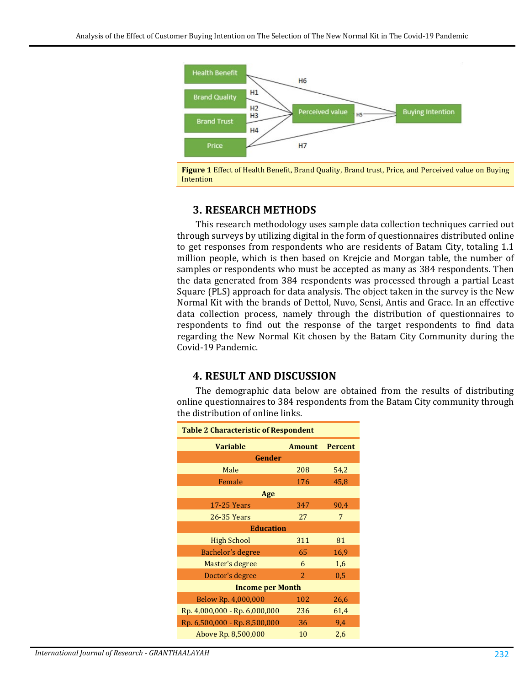



## **3. RESEARCH METHODS**

This research methodology uses sample data collection techniques carried out through surveys by utilizing digital in the form of questionnaires distributed online to get responses from respondents who are residents of Batam City, totaling 1.1 million people, which is then based on Krejcie and Morgan table, the number of samples or respondents who must be accepted as many as 384 respondents. Then the data generated from 384 respondents was processed through a partial Least Square (PLS) approach for data analysis. The object taken in the survey is the New Normal Kit with the brands of Dettol, Nuvo, Sensi, Antis and Grace. In an effective data collection process, namely through the distribution of questionnaires to respondents to find out the response of the target respondents to find data regarding the New Normal Kit chosen by the Batam City Community during the Covid-19 Pandemic.

## **4. RESULT AND DISCUSSION**

The demographic data below are obtained from the results of distributing online questionnaires to 384 respondents from the Batam City community through the distribution of online links.

| <b>Table 2 Characteristic of Respondent</b> |                |                |  |
|---------------------------------------------|----------------|----------------|--|
| <b>Variable</b>                             | <b>Amount</b>  | <b>Percent</b> |  |
| Gender                                      |                |                |  |
| Male                                        | 208            | 54,2           |  |
| Female                                      | 176            | 45,8           |  |
| Age                                         |                |                |  |
| <b>17-25 Years</b>                          | 347            | 90,4           |  |
| 26-35 Years                                 | 27             | 7              |  |
| <b>Education</b>                            |                |                |  |
| High School                                 | 311            | 81             |  |
| Bachelor's degree                           | 65             | 16,9           |  |
| Master's degree                             | 6              | 1,6            |  |
| Doctor's degree                             | $\overline{2}$ | 0,5            |  |
| <b>Income per Month</b>                     |                |                |  |
| Below Rp. 4,000,000                         | 102            | 26,6           |  |
| Rp. 4,000,000 - Rp. 6,000,000               | 236            | 61,4           |  |
| Rp. 6,500,000 - Rp. 8,500,000               | 36             | 9,4            |  |
| Above Rp. 8,500,000                         | 10             | 2,6            |  |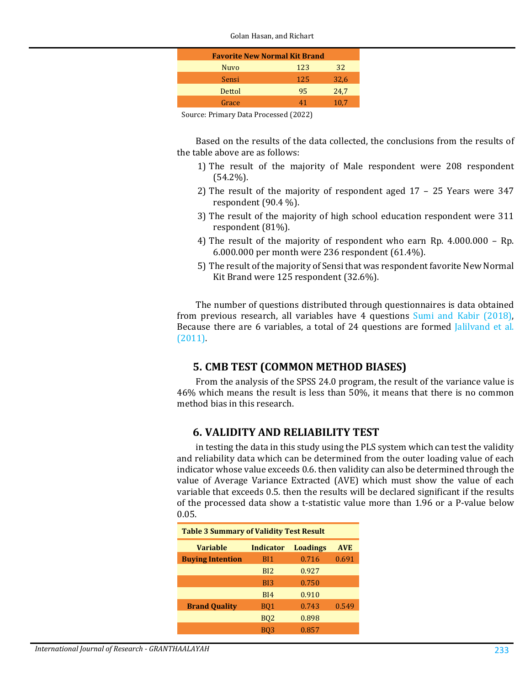| <b>Favorite New Normal Kit Brand</b> |     |      |  |  |
|--------------------------------------|-----|------|--|--|
| <b>Nuvo</b>                          | 123 | 32   |  |  |
| Sensi                                | 125 | 32,6 |  |  |
| Dettol                               | 95  | 24,7 |  |  |
| Grace                                | 41  | 10,7 |  |  |
|                                      |     |      |  |  |

Source: Primary Data Processed (2022)

Based on the results of the data collected, the conclusions from the results of the table above are as follows:

- 1) The result of the majority of Male respondent were 208 respondent (54.2%).
- 2) The result of the majority of respondent aged 17 25 Years were 347 respondent (90.4 %).
- 3) The result of the majority of high school education respondent were 311 respondent (81%).
- 4) The result of the majority of respondent who earn Rp. 4.000.000 Rp. 6.000.000 per month were 236 respondent (61.4%).
- 5) The result of the majority of Sensi that was respondent favorite New Normal Kit Brand were 125 respondent (32.6%).

The number of questions distributed through questionnaires is data obtained from previous research, all variables have 4 questions Sumi and [Kabir \(2018\),](#page-10-3) Because there are 6 variables, a total of 24 questions are formed [Jalilvand et al.](#page-9-10)  [\(2011\).](#page-9-10)

# **5. CMB TEST (COMMON METHOD BIASES)**

From the analysis of the SPSS 24.0 program, the result of the variance value is 46% which means the result is less than 50%, it means that there is no common method bias in this research.

# **6. VALIDITY AND RELIABILITY TEST**

in testing the data in this study using the PLS system which can test the validity and reliability data which can be determined from the outer loading value of each indicator whose value exceeds 0.6. then validity can also be determined through the value of Average Variance Extracted (AVE) which must show the value of each variable that exceeds 0.5. then the results will be declared significant if the results of the processed data show a t-statistic value more than 1.96 or a P-value below 0.05.

| <b>Table 3 Summary of Validity Test Result</b> |                  |                 |            |
|------------------------------------------------|------------------|-----------------|------------|
| <b>Variable</b>                                | <b>Indicator</b> | <b>Loadings</b> | <b>AVE</b> |
| <b>Buying Intention</b>                        | B <sub>I1</sub>  | 0.716           | 0.691      |
|                                                | B <sub>I2</sub>  | 0.927           |            |
|                                                | B <sub>I3</sub>  | 0.750           |            |
|                                                | <b>BI4</b>       | 0.910           |            |
| <b>Brand Quality</b>                           | <b>BQ1</b>       | 0.743           | 0.549      |
|                                                | BQ <sub>2</sub>  | 0.898           |            |
|                                                |                  | 0.857           |            |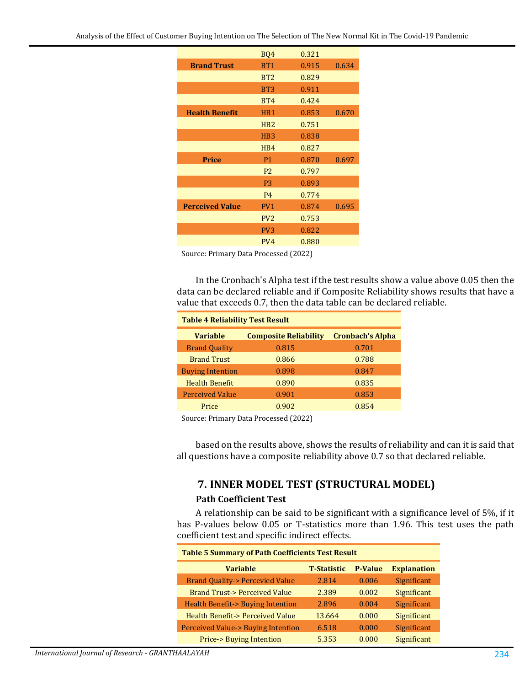|                        | BQ4              | 0.321 |       |
|------------------------|------------------|-------|-------|
| <b>Brand Trust</b>     | BT <sub>1</sub>  | 0.915 | 0.634 |
|                        | BT <sub>2</sub>  | 0.829 |       |
|                        | BT <sub>3</sub>  | 0.911 |       |
|                        | BT4              | 0.424 |       |
| <b>Health Benefit</b>  | HB1              | 0.853 | 0.670 |
|                        | H <sub>B2</sub>  | 0.751 |       |
|                        | H <sub>B</sub> 3 | 0.838 |       |
|                        | HB4              | 0.827 |       |
| <b>Price</b>           | P1               | 0.870 | 0.697 |
|                        | P <sub>2</sub>   | 0.797 |       |
|                        | P <sub>3</sub>   | 0.893 |       |
|                        | P <sub>4</sub>   | 0.774 |       |
| <b>Perceived Value</b> | PV <sub>1</sub>  | 0.874 | 0.695 |
|                        | PV <sub>2</sub>  | 0.753 |       |
|                        | PV <sub>3</sub>  | 0.822 |       |
|                        | PV <sub>4</sub>  | 0.880 |       |

Source: Primary Data Processed (2022)

In the Cronbach's Alpha test if the test results show a value above 0.05 then the data can be declared reliable and if Composite Reliability shows results that have a value that exceeds 0.7, then the data table can be declared reliable.

| <b>Table 4 Reliability Test Result</b> |                              |                         |  |
|----------------------------------------|------------------------------|-------------------------|--|
| <b>Variable</b>                        | <b>Composite Reliability</b> | <b>Cronbach's Alpha</b> |  |
| <b>Brand Quality</b>                   | 0.815                        | 0.701                   |  |
| <b>Brand Trust</b>                     | 0.866                        | 0.788                   |  |
| <b>Buying Intention</b>                | 0.898                        | 0.847                   |  |
| <b>Health Benefit</b>                  | 0.890                        | 0.835                   |  |
| <b>Perceived Value</b>                 | 0.901                        | 0.853                   |  |
| Price                                  | 0.902                        | 0.854                   |  |

Source: Primary Data Processed (2022)

based on the results above, shows the results of reliability and can it is said that all questions have a composite reliability above 0.7 so that declared reliable.

# **7. INNER MODEL TEST (STRUCTURAL MODEL)**

#### **Path Coefficient Test**

A relationship can be said to be significant with a significance level of 5%, if it has P-values below 0.05 or T-statistics more than 1.96. This test uses the path coefficient test and specific indirect effects.

| <b>Table 5 Summary of Path Coefficients Test Result</b> |                    |                |                    |
|---------------------------------------------------------|--------------------|----------------|--------------------|
| <b>Variable</b>                                         | <b>T-Statistic</b> | <b>P-Value</b> | <b>Explanation</b> |
| <b>Brand Quality-&gt; Percevied Value</b>               | 2.814              | 0.006          | Significant        |
| <b>Brand Trust-&gt; Perceived Value</b>                 | 2.389              | 0.002          | Significant        |
| <b>Health Benefit-&gt; Buying Intention</b>             | 2.896              | 0.004          | Significant        |
| Health Benefit-> Perceived Value                        | 13.664             | 0.000          | <b>Significant</b> |
| <b>Perceived Value-&gt; Buying Intention</b>            | 6.518              | 0.000          | Significant        |
| <b>Price-&gt; Buying Intention</b>                      | 5.353              | 0.000          | Significant        |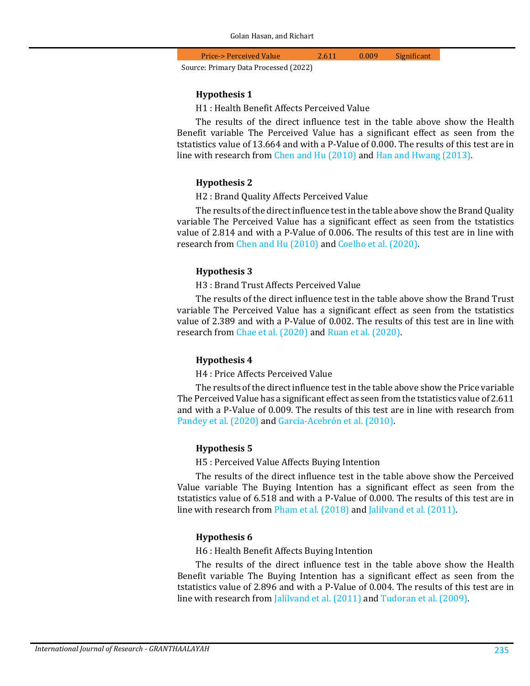Price-> Perceived Value 2.611 0.009 Significant

Source: Primary Data Processed (2022)

#### **Hypothesis 1**

H1 : Health Benefit Affects Perceived Value

The results of the direct influence test in the table above show the Health Benefit variable The Perceived Value has a significant effect as seen from the tstatistics value of 13.664 and with a P-Value of 0.000. The results of this test are in line with research from [Chen and Hu \(2010\)](#page-8-0) an[d Han and Hwang \(2013\).](#page-9-1)

### **Hypothesis 2**

#### H2 : Brand Quality Affects Perceived Value

The results of the direct influence test in the table above show the Brand Quality variable The Perceived Value has a significant effect as seen from the tstatistics value of 2.814 and with a P-Value of 0.006. The results of this test are in line with research from [Chen and Hu \(2010\)](#page-8-0) and [Coelho et al. \(2020\).](#page-9-4)

### **Hypothesis 3**

H3 : Brand Trust Affects Perceived Value

The results of the direct influence test in the table above show the Brand Trust variable The Perceived Value has a significant effect as seen from the tstatistics value of 2.389 and with a P-Value of 0.002. The results of this test are in line with research from [Chae et al. \(2020\)](#page-8-3) an[d Ruan et al. \(2020\).](#page-10-1)

#### **Hypothesis 4**

H4 : Price Affects Perceived Value

The results of the direct influence test in the table above show the Price variable The Perceived Value has a significant effect as seen from the tstatistics value of 2.611 and with a P-Value of 0.009. The results of this test are in line with research from [Pandey et al. \(2020\)](#page-9-5) an[d García-Acebrón et al. \(2010\).](#page-9-6)

#### **Hypothesis 5**

H5 : Perceived Value Affects Buying Intention

The results of the direct influence test in the table above show the Perceived Value variable The Buying Intention has a significant effect as seen from the tstatistics value of 6.518 and with a P-Value of 0.000. The results of this test are in line with research from [Pham et al. \(2018\)](#page-10-4) and [Jalilvand et al. \(2011\).](#page-9-10)

#### **Hypothesis 6**

H6 : Health Benefit Affects Buying Intention

The results of the direct influence test in the table above show the Health Benefit variable The Buying Intention has a significant effect as seen from the tstatistics value of 2.896 and with a P-Value of 0.004. The results of this test are in line with research from [Jalilvand et al. \(2011\)](#page-9-10) and [Tudoran et al. \(2009\).](#page-10-2)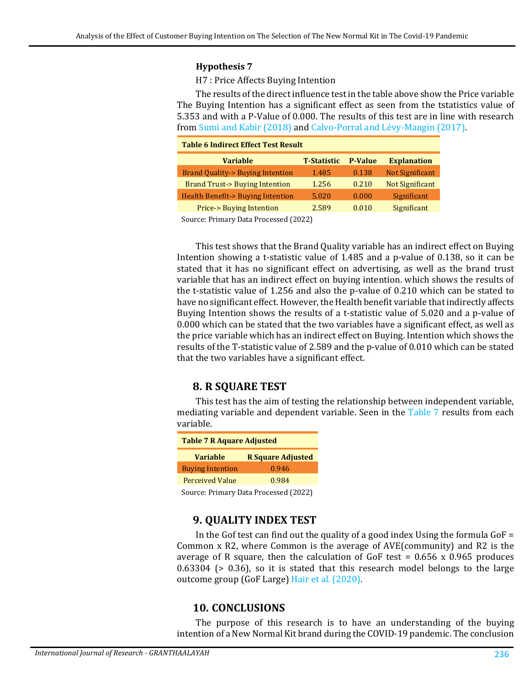### **Hypothesis 7**

#### H7 : Price Affects Buying Intention

The results of the direct influence test in the table above show the Price variable The Buying Intention has a significant effect as seen from the tstatistics value of 5.353 and with a P-Value of 0.000. The results of this test are in line with research from [Sumi and Kabir \(2018\)](#page-10-3) and [Calvo-Porral and Lévy-Mangin \(2017\).](#page-8-7)

| <b>Table 6 Indirect Effect Test Result</b>    |                    |                |                        |
|-----------------------------------------------|--------------------|----------------|------------------------|
| <b>Variable</b>                               | <b>T-Statistic</b> | <b>P-Value</b> | <b>Explanation</b>     |
| <b>Brand Quality-&gt; Buying Intention</b>    | 1.485              | 0.138          | <b>Not Significant</b> |
| <b>Brand Trust-&gt; Buying Intention</b>      | 1.256              | 0.210          | <b>Not Significant</b> |
| <b>Health Benefit-&gt; Buying Intention</b>   | 5.020              | 0.000          | Significant            |
| <b>Price-&gt; Buying Intention</b>            | 2.589              | 0.010          | Significant            |
| 1.60003<br>$\sim$<br>$\mathbf{r}$<br><u>.</u> |                    |                |                        |

Source: Primary Data Processed (2022)

This test shows that the Brand Quality variable has an indirect effect on Buying Intention showing a t-statistic value of 1.485 and a p-value of 0.138, so it can be stated that it has no significant effect on advertising, as well as the brand trust variable that has an indirect effect on buying intention. which shows the results of the t-statistic value of 1.256 and also the p-value of 0.210 which can be stated to have no significant effect. However, the Health benefit variable that indirectly affects Buying Intention shows the results of a t-statistic value of 5.020 and a p-value of 0.000 which can be stated that the two variables have a significant effect, as well as the price variable which has an indirect effect on Buying. Intention which shows the results of the T-statistic value of 2.589 and the p-value of 0.010 which can be stated that the two variables have a significant effect.

# **8. R SQUARE TEST**

This test has the aim of testing the relationship between independent variable, mediating variable and dependent variable. Seen in the [Table 7](#page-7-0) results from each variable.

<span id="page-7-0"></span>

| <b>Table 7 R Aquare Adjusted</b>      |                          |  |
|---------------------------------------|--------------------------|--|
| <b>Variable</b>                       | <b>R</b> Square Adjusted |  |
| <b>Buying Intention</b>               | 0.946                    |  |
| <b>Perceived Value</b><br>0.984       |                          |  |
| Source: Primary Data Processed (2022) |                          |  |

## **9. QUALITY INDEX TEST**

In the Gof test can find out the quality of a good index Using the formula GoF  $=$ Common x R2, where Common is the average of AVE(community) and R2 is the average of R square, then the calculation of GoF test =  $0.656 \times 0.965$  produces 0.63304 (> 0.36), so it is stated that this research model belongs to the large outcome group (GoF Large) [Hair et al. \(2020\).](#page-9-11)

## **10. CONCLUSIONS**

The purpose of this research is to have an understanding of the buying intention of a New Normal Kit brand during the COVID-19 pandemic. The conclusion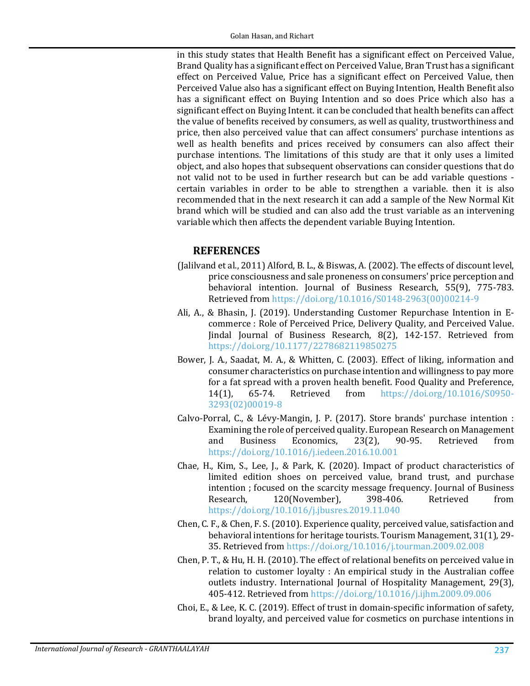in this study states that Health Benefit has a significant effect on Perceived Value, Brand Quality has a significant effect on Perceived Value, Bran Trust has a significant effect on Perceived Value, Price has a significant effect on Perceived Value, then Perceived Value also has a significant effect on Buying Intention, Health Benefit also has a significant effect on Buying Intention and so does Price which also has a significant effect on Buying Intent. it can be concluded that health benefits can affect the value of benefits received by consumers, as well as quality, trustworthiness and price, then also perceived value that can affect consumers' purchase intentions as well as health benefits and prices received by consumers can also affect their purchase intentions. The limitations of this study are that it only uses a limited object, and also hopes that subsequent observations can consider questions that do not valid not to be used in further research but can be add variable questions certain variables in order to be able to strengthen a variable. then it is also recommended that in the next research it can add a sample of the New Normal Kit brand which will be studied and can also add the trust variable as an intervening variable which then affects the dependent variable Buying Intention.

# <span id="page-8-6"></span>**REFERENCES**

- (Jalilvand et al., 2011) Alford, B. L., & Biswas, A. (2002). The effects of discount level, price consciousness and sale proneness on consumers' price perception and behavioral intention. Journal of Business Research, 55(9), 775-783. Retrieved from [https://doi.org/10.1016/S0148-2963\(00\)00214-9](https://doi.org/10.1016/S0148-2963(00)00214-9)
- <span id="page-8-4"></span>Ali, A., & Bhasin, J. (2019). Understanding Customer Repurchase Intention in Ecommerce : Role of Perceived Price, Delivery Quality, and Perceived Value. Jindal Journal of Business Research, 8(2), 142-157. Retrieved from <https://doi.org/10.1177/2278682119850275>
- <span id="page-8-5"></span>Bower, J. A., Saadat, M. A., & Whitten, C. (2003). Effect of liking, information and consumer characteristics on purchase intention and willingness to pay more for a fat spread with a proven health benefit. Food Quality and Preference,  $14(1)$ , 65-74. Retrieved from https://doi.org/10.1016/S0950[https://doi.org/10.1016/S0950-](https://doi.org/10.1016/S0950-3293(02)00019-8) [3293\(02\)00019-8](https://doi.org/10.1016/S0950-3293(02)00019-8)
- <span id="page-8-7"></span>Calvo-Porral, C., & Lévy-Mangin, J. P. (2017). Store brands' purchase intention : Examining the role of perceived quality. European Research on Management<br>and Business Economics, 23(2), 90-95. Retrieved from and Business Economics, 23(2), 90-95. Retrieved from <https://doi.org/10.1016/j.iedeen.2016.10.001>
- <span id="page-8-3"></span>Chae, H., Kim, S., Lee, J., & Park, K. (2020). Impact of product characteristics of limited edition shoes on perceived value, brand trust, and purchase intention ; focused on the scarcity message frequency. Journal of Business<br>Research, 20(November), 398-406. Retrieved from 120(November), <https://doi.org/10.1016/j.jbusres.2019.11.040>
- <span id="page-8-1"></span>Chen, C. F., & Chen, F. S. (2010). Experience quality, perceived value, satisfaction and behavioral intentions for heritage tourists. Tourism Management, 31(1), 29- 35. Retrieved from <https://doi.org/10.1016/j.tourman.2009.02.008>
- <span id="page-8-0"></span>Chen, P. T., & Hu, H. H. (2010). The effect of relational benefits on perceived value in relation to customer loyalty : An empirical study in the Australian coffee outlets industry. International Journal of Hospitality Management, 29(3), 405-412. Retrieved from <https://doi.org/10.1016/j.ijhm.2009.09.006>
- <span id="page-8-2"></span>Choi, E., & Lee, K. C. (2019). Effect of trust in domain-specific information of safety, brand loyalty, and perceived value for cosmetics on purchase intentions in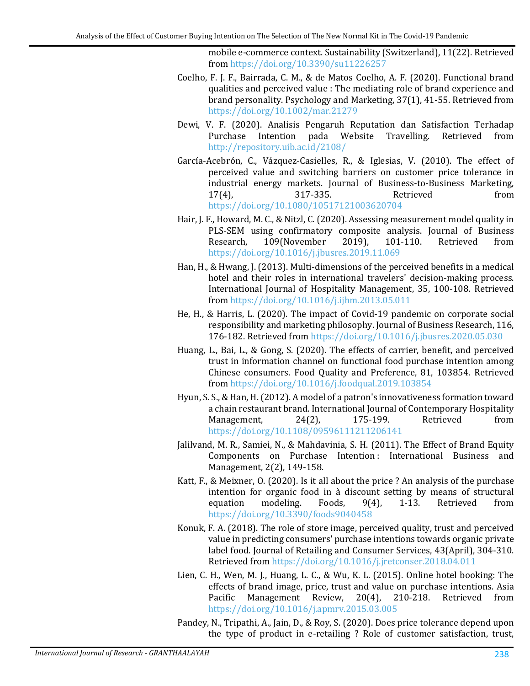mobile e-commerce context. Sustainability (Switzerland), 11(22). Retrieved from <https://doi.org/10.3390/su11226257>

- <span id="page-9-4"></span>Coelho, F. J. F., Bairrada, C. M., & de Matos Coelho, A. F. (2020). Functional brand qualities and perceived value : The mediating role of brand experience and brand personality. Psychology and Marketing, 37(1), 41-55. Retrieved from <https://doi.org/10.1002/mar.21279>
- <span id="page-9-3"></span>Dewi, V. F. (2020). Analisis Pengaruh Reputation dan Satisfaction Terhadap Purchase Intention pada Website Travelling. <http://repository.uib.ac.id/2108/>
- <span id="page-9-6"></span>García-Acebrón, C., Vázquez-Casielles, R., & Iglesias, V. (2010). The effect of perceived value and switching barriers on customer price tolerance in industrial energy markets. Journal of Business-to-Business Marketing,<br>17(4), 317-335. Retrieved from  $17(4)$ ,  $317-335$ . Retrieved from <https://doi.org/10.1080/10517121003620704>
- <span id="page-9-11"></span>Hair, J. F., Howard, M. C., & Nitzl, C. (2020). Assessing measurement model quality in PLS-SEM using confirmatory composite analysis. Journal of Business<br>Research, 109(November 2019), 101-110. Retrieved from 109(November <https://doi.org/10.1016/j.jbusres.2019.11.069>
- <span id="page-9-1"></span>Han, H., & Hwang, J. (2013). Multi-dimensions of the perceived benefits in a medical hotel and their roles in international travelers' decision-making process. International Journal of Hospitality Management, 35, 100-108. Retrieved from <https://doi.org/10.1016/j.ijhm.2013.05.011>
- <span id="page-9-0"></span>He, H., & Harris, L. (2020). The impact of Covid-19 pandemic on corporate social responsibility and marketing philosophy. Journal of Business Research, 116, 176-182. Retrieved from <https://doi.org/10.1016/j.jbusres.2020.05.030>
- <span id="page-9-7"></span>Huang, L., Bai, L., & Gong, S. (2020). The effects of carrier, benefit, and perceived trust in information channel on functional food purchase intention among Chinese consumers. Food Quality and Preference, 81, 103854. Retrieved from <https://doi.org/10.1016/j.foodqual.2019.103854>
- Hyun, S. S., & Han, H. (2012). A model of a patron's innovativeness formation toward a chain restaurant brand. International Journal of Contemporary Hospitality<br>Management, 24(2), 175-199. Retrieved from Management, <https://doi.org/10.1108/09596111211206141>
- <span id="page-9-10"></span>Jalilvand, M. R., Samiei, N., & Mahdavinia, S. H. (2011). The Effect of Brand Equity Components on Purchase Intention : International Business and Management, 2(2), 149-158.
- <span id="page-9-9"></span>Katt, F., & Meixner, O. (2020). Is it all about the price ? An analysis of the purchase intention for organic food in à discount setting by means of structural<br>equation modeling. Foods, 9(4), 1-13. Retrieved from equation modeling. Foods, 9(4), 1-13. Retrieved from <https://doi.org/10.3390/foods9040458>
- <span id="page-9-2"></span>Konuk, F. A. (2018). The role of store image, perceived quality, trust and perceived value in predicting consumers' purchase intentions towards organic private label food. Journal of Retailing and Consumer Services, 43(April), 304-310. Retrieved from <https://doi.org/10.1016/j.jretconser.2018.04.011>
- <span id="page-9-8"></span>Lien, C. H., Wen, M. J., Huang, L. C., & Wu, K. L. (2015). Online hotel booking: The effects of brand image, price, trust and value on purchase intentions. Asia<br>Pacific Management Review. 20(4). 210-218. Retrieved from Management Review,  $20(4)$ , 210-218. <https://doi.org/10.1016/j.apmrv.2015.03.005>
- <span id="page-9-5"></span>Pandey, N., Tripathi, A., Jain, D., & Roy, S. (2020). Does price tolerance depend upon the type of product in e-retailing ? Role of customer satisfaction, trust,